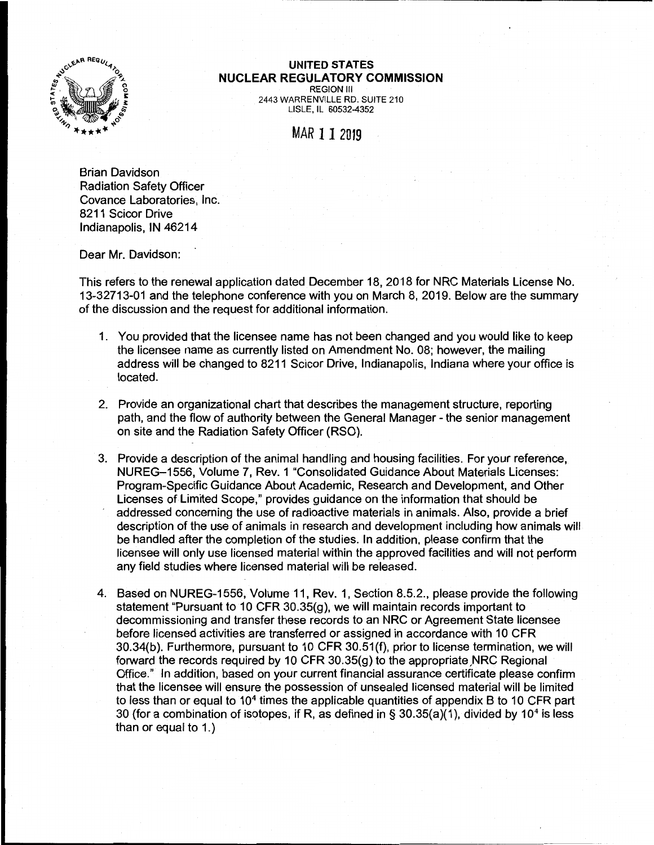

## **UNITED STATES NUCLEAR REGULATORY COMMISSION**

REGION Ill 2443 WARRENVILLE RD. SUITE 210 LISLE, IL 60532-4352

## MAR 1 1 2019

Brian Davidson Radiation Safety Officer Covance Laboratories, Inc. 8211 Scicor Drive Indianapolis, IN 46214

Dear Mr. Davidson:

This refers to the renewal application dated December 18, 2018 for NRC Materials License No. 13-32713-01 and the telephone conference with you on March 8, 2019. Below are the summary of the discussion and the request for additional information.

- 1. You provided that the licensee name has not been changed and you would like to keep the licensee name as currently listed on Amendment No. 08; however, the mailing address will be changed to 8211 Scicor Drive, Indianapolis, Indiana where your office is located.
- 2. Provide an organizational chart that describes the management structure, reporting path, and the flow of authority between the General Manager - the senior management on site and the Radiation Safety Officer (RSO).
- 3. Provide a description of the animal handling and housing facilities. For your reference, NUREG-1556, Volume 7, Rev. 1 "Consolidated Guidance About Materials Licenses: Program-Specific Guidance About Academic, Research and Development, and Other Licenses of Limited Scope," provides guidance on the information that should be addressed concerning the use of radioactive materials in animals. Also, provide a brief description of the use of animals in research and development including how animals will be handled after the completion of the studies. In addition, please confirm that the licensee will only use licensed material within the approved facilities and will not perform any field studies where licensed material will be released.
- 4. Based on NUREG-1556, Volume 11, Rev. 1, Section 8.5.2., please provide the following statement "Pursuant to 10 CFR 30.35 $(q)$ , we will maintain records important to decommissioning and transfer these records to an NRC or Agreement State licensee before licensed activities are transferred or assigned in accordance with 10 CFR 30.34(b). Furthermore, pursuant to 10 CFR 30.51(f), prior to license termination, we will forward the records required by 10 CFR 30.35 $(g)$  to the appropriate NRC Regional Office." In addition, based on your current financial assurance certificate please confirm that the licensee will ensure the possession of unsealed licensed material will be limited to less than or equal to  $10<sup>4</sup>$  times the applicable quantities of appendix B to 10 CFR part 30 (for a combination of isotopes, if R, as defined in § 30.35(a)(1), divided by 10<sup>4</sup> is less than or equal to 1.)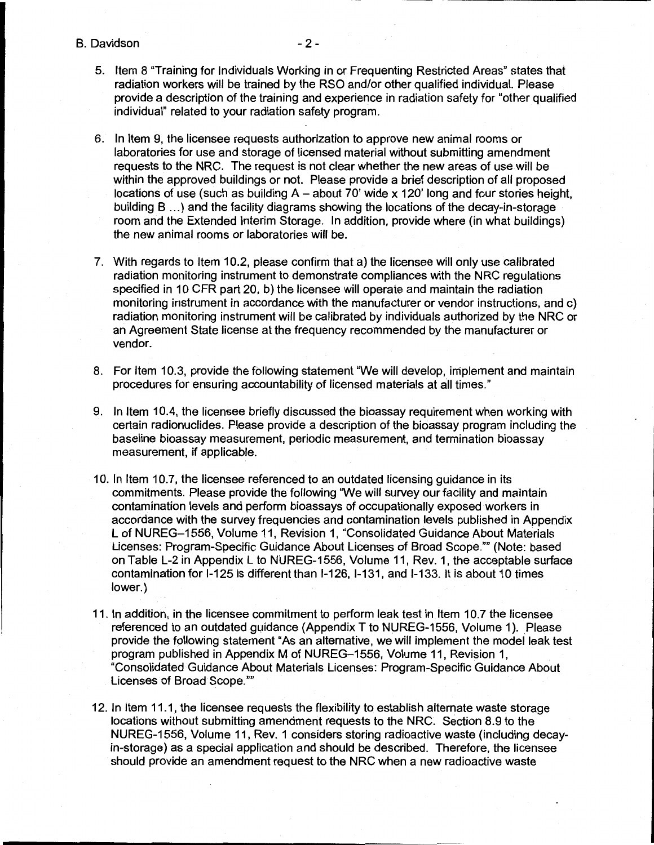B. Davidson -2-

- 5. Item 8 "Training for Individuals Working in or Frequenting Restricted Areas" states that radiation workers will be trained by the RSO and/or other qualified individual. Please provide a description of the training and experience in radiation safety for "other qualified individual" related to your radiation safety program.
- 6. In Item 9, the licensee requests authorization to approve new animal rooms or laboratories for use and storage of licensed material without submitting amendment requests to the NRC. The request is not clear whether the new areas of use will be within the approved buildings or not. Please provide a brief description of all proposed locations of use (such as building  $A -$  about 70' wide x 120' long and four stories height, building B ... ) and the facility diagrams showing the locations of the decay-in-storage room and the Extended Interim Storage. In addition, provide where (in what buildings) the new animal rooms or laboratories will be.
- 7. With regards to Item 10.2, please confirm that a) the licensee will only use calibrated radiation monitoring instrument to demonstrate compliances with the NRC regulations specified in 10 CFR part 20, b) the licensee will operate and maintain the radiation monitoring instrument in accordance with the manufacturer or vendor instructions, and c) radiation monitoring instrument will be calibrated by individuals authorized by the NRC or an Agreement State license at the frequency recommended by the manufacturer or vendor.
- 8. For Item 10.3, provide the following statement "We will develop, implement and maintain procedures for ensuring accountability of licensed materials at all times."
- 9. In Item 10.4, the licensee briefly discussed the bioassay requirement when working with certain radionuclides. Please provide a description of the bioassay program including the baseline bioassay measurement, periodic measurement, and termination bioassay measurement, if applicable.
- 10. In Item 10.7, the licensee referenced to an outdated licensing guidance in its commitments. Please provide the following "We will survey our facility and maintain contamination levels and perform bioassays of occupationally exposed workers in accordance with the survey frequencies and contamination levels published in Appendix L of NUREG-1556, Volume 11, Revision 1, "Consolidated Guidance About Materials Licenses: Program-Specific Guidance About Licenses of Broad Scope."" (Note: based on Table L-2 in Appendix L to NUREG-1556, Volume 11, Rev. 1, the acceptable surface contamination for 1-125 is different than 1-126, 1-131, and 1-133. It is about 10 times lower.)
- 11. In addition, in the licensee commitment to perform leak test in Item 10. 7 the licensee referenced to an outdated guidance (Appendix T to NUREG-1556, Volume 1). Please provide the following statement "As an alternative, we will implement the model leak test program published in Appendix M of NUREG-1556, Volume 11, Revision 1, "Consolidated Guidance About Materials Licenses: Program-Specific Guidance About Licenses of Broad Scope.""
- 12. In Item 11.1, the licensee requests the flexibility to establish alternate waste storage locations without submitting amendment requests to the NRC. Section 8.9 to the NUREG-1556, Volume 11, Rev. 1 considers storing radioactive waste (including decayin-storage) as a special application and should be described. Therefore, the licensee should provide an amendment request to the NRC when a new radioactive waste